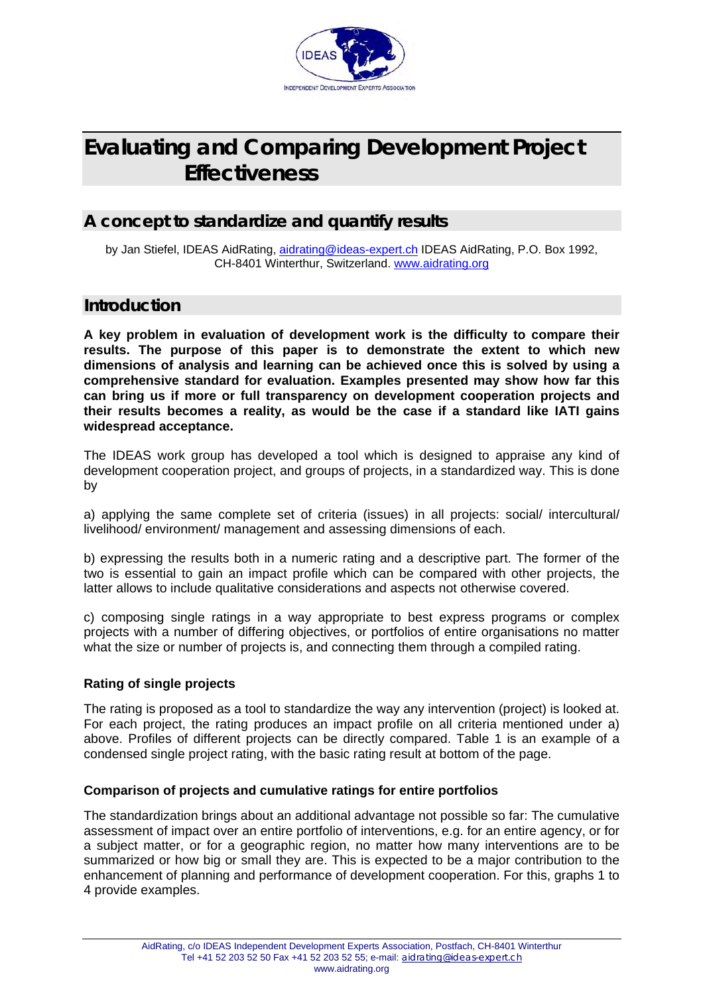

# **Evaluating and Comparing Development Project Effectiveness**

### **A concept to standardize and quantify results**

by Jan Stiefel, IDEAS AidRating, [aidrating@ideas-expert.ch](mailto:aidrating@ideas-expert.ch) IDEAS AidRating, P.O. Box 1992, CH-8401 Winterthur, Switzerland. [www.aidrating.org](http://www.aidrating.org/)

### **Introduction**

**A key problem in evaluation of development work is the difficulty to compare their results. The purpose of this paper is to demonstrate the extent to which new dimensions of analysis and learning can be achieved once this is solved by using a comprehensive standard for evaluation. Examples presented may show how far this can bring us if more or full transparency on development cooperation projects and their results becomes a reality, as would be the case if a standard like IATI gains widespread acceptance.** 

The IDEAS work group has developed a tool which is designed to appraise any kind of development cooperation project, and groups of projects, in a standardized way. This is done by

a) applying the same complete set of criteria (issues) in all projects: social/ intercultural/ livelihood/ environment/ management and assessing dimensions of each.

b) expressing the results both in a numeric rating and a descriptive part. The former of the two is essential to gain an impact profile which can be compared with other projects, the latter allows to include qualitative considerations and aspects not otherwise covered.

c) composing single ratings in a way appropriate to best express programs or complex projects with a number of differing objectives, or portfolios of entire organisations no matter what the size or number of projects is, and connecting them through a compiled rating.

#### **Rating of single projects**

The rating is proposed as a tool to standardize the way any intervention (project) is looked at. For each project, the rating produces an impact profile on all criteria mentioned under a) above. Profiles of different projects can be directly compared. Table 1 is an example of a condensed single project rating, with the basic rating result at bottom of the page.

#### **Comparison of projects and cumulative ratings for entire portfolios**

The standardization brings about an additional advantage not possible so far: The cumulative assessment of impact over an entire portfolio of interventions, e.g. for an entire agency, or for a subject matter, or for a geographic region, no matter how many interventions are to be summarized or how big or small they are. This is expected to be a major contribution to the enhancement of planning and performance of development cooperation. For this, graphs 1 to 4 provide examples.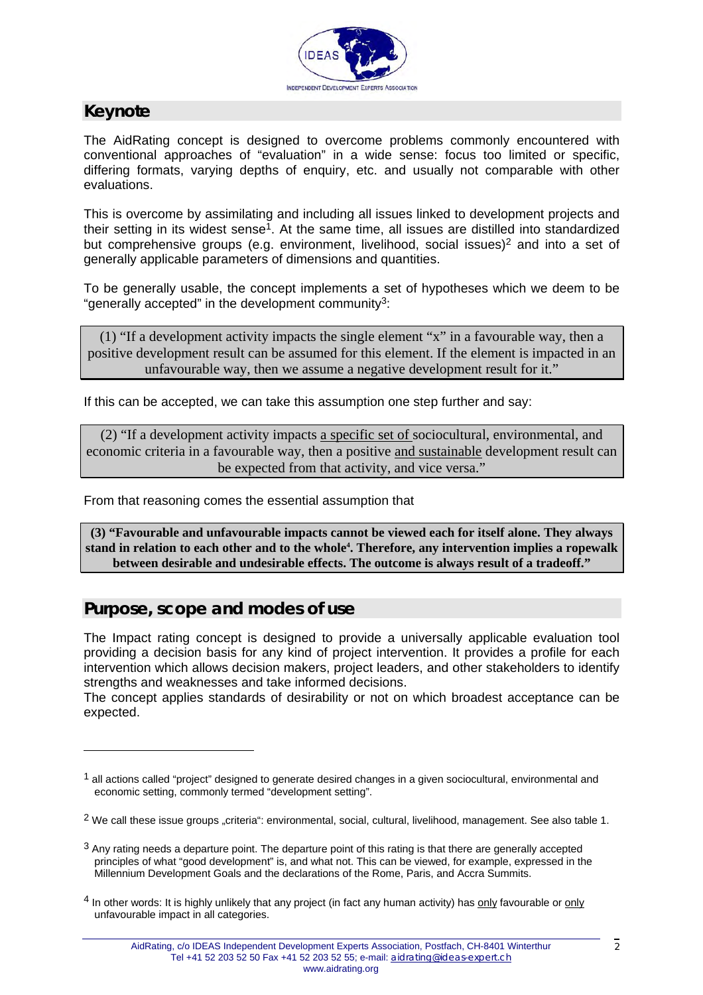

# **Keynote**

 $\overline{a}$ 

The AidRating concept is designed to overcome problems commonly encountered with conventional approaches of "evaluation" in a wide sense: focus too limited or specific, differing formats, varying depths of enquiry, etc. and usually not comparable with other evaluations.

This is overcome by assimilating and including all issues linked to development projects and their setting in its widest sense<sup>1</sup>. At the same time, all issues are distilled into standardized but comprehensive groups (e.g. environment, livelihood, social issues)<sup>2</sup> and into a set of generally applicable parameters of dimensions and quantities.

To be generally usable, the concept implements a set of hypotheses which we deem to be "generally accepted" in the development community[3:](#page-1-2)

(1) "If a development activity impacts the single element "x" in a favourable way, then a positive development result can be assumed for this element. If the element is impacted in an unfavourable way, then we assume a negative development result for it."

If this can be accepted, we can take this assumption one step further and say:

(2) "If a development activity impacts a specific set of sociocultural, environmental, and economic criteria in a favourable way, then a positive and sustainable development result can be expected from that activity, and vice versa."

From that reasoning comes the essential assumption that

**(3) "Favourable and unfavourable impacts cannot be viewed each for itself alone. They always**  stand in relation to each other and to the whole<sup>4</sup>[.](#page-1-3) Therefore, any intervention implies a ropewalk **between desirable and undesirable effects. The outcome is always result of a tradeoff."** 

### **Purpose, scope and modes of use**

The Impact rating concept is designed to provide a universally applicable evaluation tool providing a decision basis for any kind of project intervention. It provides a profile for each intervention which allows decision makers, project leaders, and other stakeholders to identify strengths and weaknesses and take informed decisions.

The concept applies standards of desirability or not on which broadest acceptance can be expected.

<span id="page-1-0"></span> $<sup>1</sup>$  all actions called "project" designed to generate desired changes in a given sociocultural, environmental and</sup> economic setting, commonly termed "development setting".

<span id="page-1-1"></span><sup>&</sup>lt;sup>2</sup> We call these issue groups "criteria": environmental, social, cultural, livelihood, management. See also table 1.

<span id="page-1-2"></span> $3$  Any rating needs a departure point. The departure point of this rating is that there are generally accepted principles of what "good development" is, and what not. This can be viewed, for example, expressed in the Millennium Development Goals and the declarations of the Rome, Paris, and Accra Summits.

<span id="page-1-3"></span><sup>4</sup> In other words: It is highly unlikely that any project (in fact any human activity) has only favourable or only unfavourable impact in all categories.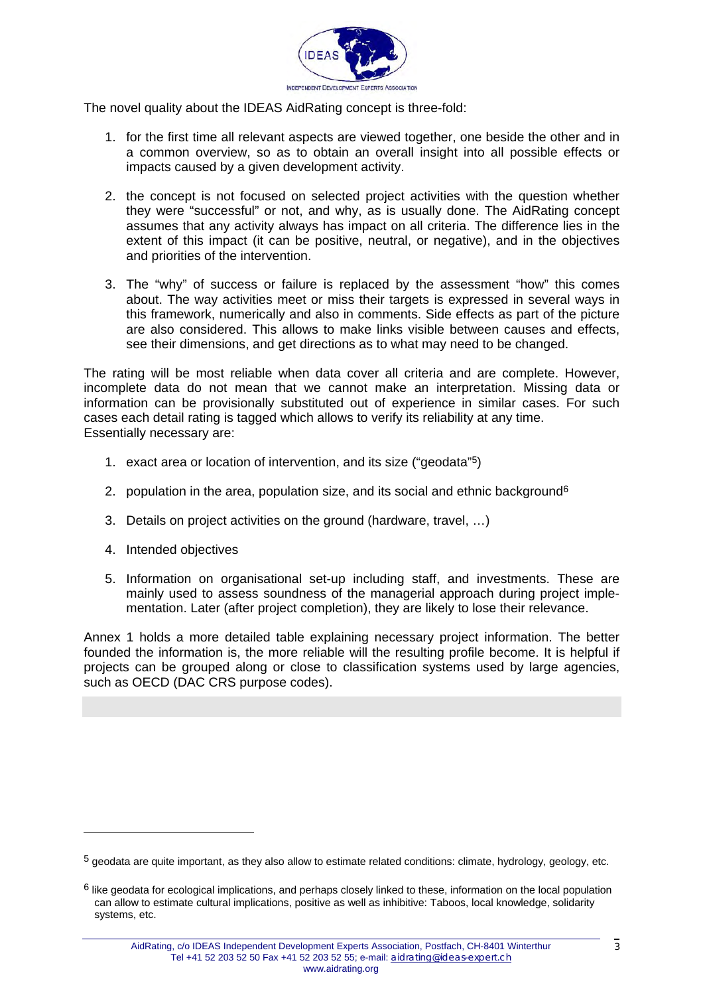

The novel quality about the IDEAS AidRating concept is three-fold:

- 1. for the first time all relevant aspects are viewed together, one beside the other and in a common overview, so as to obtain an overall insight into all possible effects or impacts caused by a given development activity.
- 2. the concept is not focused on selected project activities with the question whether they were "successful" or not, and why, as is usually done. The AidRating concept assumes that any activity always has impact on all criteria. The difference lies in the extent of this impact (it can be positive, neutral, or negative), and in the objectives and priorities of the intervention.
- 3. The "why" of success or failure is replaced by the assessment "how" this comes about. The way activities meet or miss their targets is expressed in several ways in this framework, numerically and also in comments. Side effects as part of the picture are also considered. This allows to make links visible between causes and effects, see their dimensions, and get directions as to what may need to be changed.

The rating will be most reliable when data cover all criteria and are complete. However, incomplete data do not mean that we cannot make an interpretation. Missing data or information can be provisionally substituted out of experience in similar cases. For such cases each detail rating is tagged which allows to verify its reliability at any time. Essentially necessary are:

- 1. exact area or location of intervention, and its size ("geodata"[5\)](#page-2-0)
- 2. population in the area, population size, and its social and ethnic background<sup>[6](#page-2-1)</sup>
- 3. Details on project activities on the ground (hardware, travel, …)
- 4. Intended objectives

5. Information on organisational set-up including staff, and investments. These are mainly used to assess soundness of the managerial approach during project implementation. Later (after project completion), they are likely to lose their relevance.

Annex 1 holds a more detailed table explaining necessary project information. The better founded the information is, the more reliable will the resulting profile become. It is helpful if projects can be grouped along or close to classification systems used by large agencies, such as OECD (DAC CRS purpose codes).

<span id="page-2-0"></span> $<sup>5</sup>$  geodata are quite important, as they also allow to estimate related conditions: climate, hydrology, geology, etc.</sup>

<span id="page-2-1"></span> $6$  like geodata for ecological implications, and perhaps closely linked to these, information on the local population can allow to estimate cultural implications, positive as well as inhibitive: Taboos, local knowledge, solidarity systems, etc.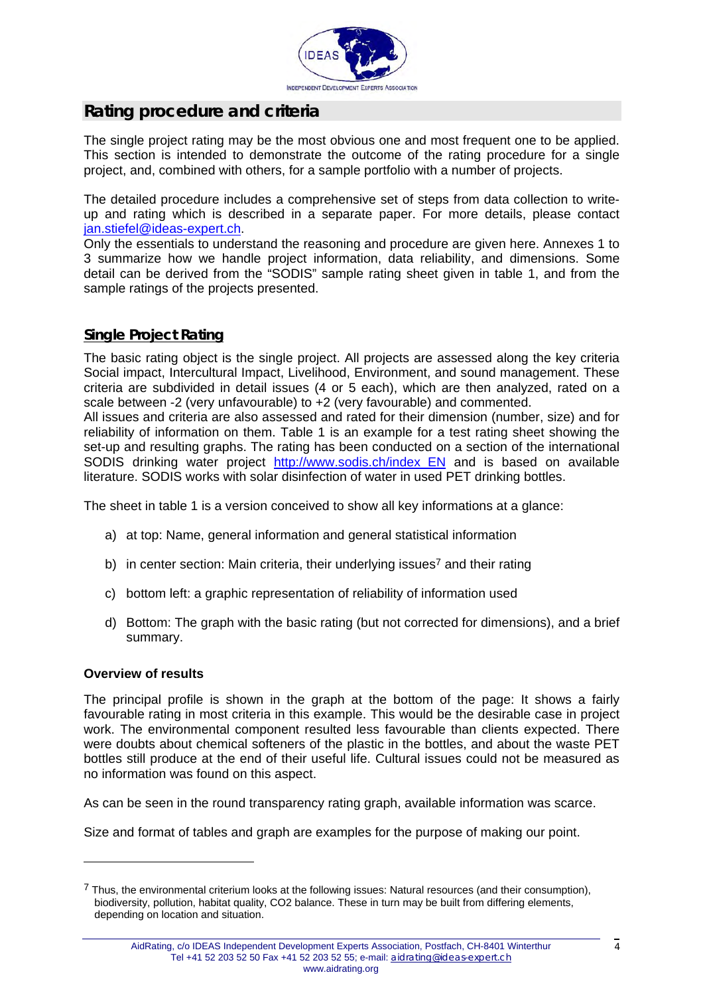

### **Rating procedure and criteria**

The single project rating may be the most obvious one and most frequent one to be applied. This section is intended to demonstrate the outcome of the rating procedure for a single project, and, combined with others, for a sample portfolio with a number of projects.

The detailed procedure includes a comprehensive set of steps from data collection to writeup and rating which is described in a separate paper. For more details, please contact [jan.stiefel@ideas-expert.ch.](mailto:jan.stiefel@ideas-expert.ch)

Only the essentials to understand the reasoning and procedure are given here. Annexes 1 to 3 summarize how we handle project information, data reliability, and dimensions. Some detail can be derived from the "SODIS" sample rating sheet given in table 1, and from the sample ratings of the projects presented.

#### **Single Project Rating**

The basic rating object is the single project. All projects are assessed along the key criteria Social impact, Intercultural Impact, Livelihood, Environment, and sound management. These criteria are subdivided in detail issues (4 or 5 each), which are then analyzed, rated on a scale between -2 (very unfavourable) to +2 (very favourable) and commented.

All issues and criteria are also assessed and rated for their dimension (number, size) and for reliability of information on them. Table 1 is an example for a test rating sheet showing the set-up and resulting graphs. The rating has been conducted on a section of the international SODIS drinking water project [http://www.sodis.ch/index\\_EN](http://www.sodis.ch/index_EN) and is based on available literature. SODIS works with solar disinfection of water in used PET drinking bottles.

The sheet in table 1 is a version conceived to show all key informations at a glance:

- a) at top: Name, general information and general statistical information
- b) in center section: Main criteria, their underlying issues<sup>7</sup> and their rating
- c) bottom left: a graphic representation of reliability of information used
- d) Bottom: The graph with the basic rating (but not corrected for dimensions), and a brief summary.

#### **Overview of results**

The principal profile is shown in the graph at the bottom of the page: It shows a fairly favourable rating in most criteria in this example. This would be the desirable case in project work. The environmental component resulted less favourable than clients expected. There were doubts about chemical softeners of the plastic in the bottles, and about the waste PET bottles still produce at the end of their useful life. Cultural issues could not be measured as no information was found on this aspect.

As can be seen in the round transparency rating graph, available information was scarce.

Size and format of tables and graph are examples for the purpose of making our point.

<span id="page-3-0"></span> $^7$  Thus, the environmental criterium looks at the following issues: Natural resources (and their consumption), biodiversity, pollution, habitat quality, CO2 balance. These in turn may be built from differing elements, depending on location and situation.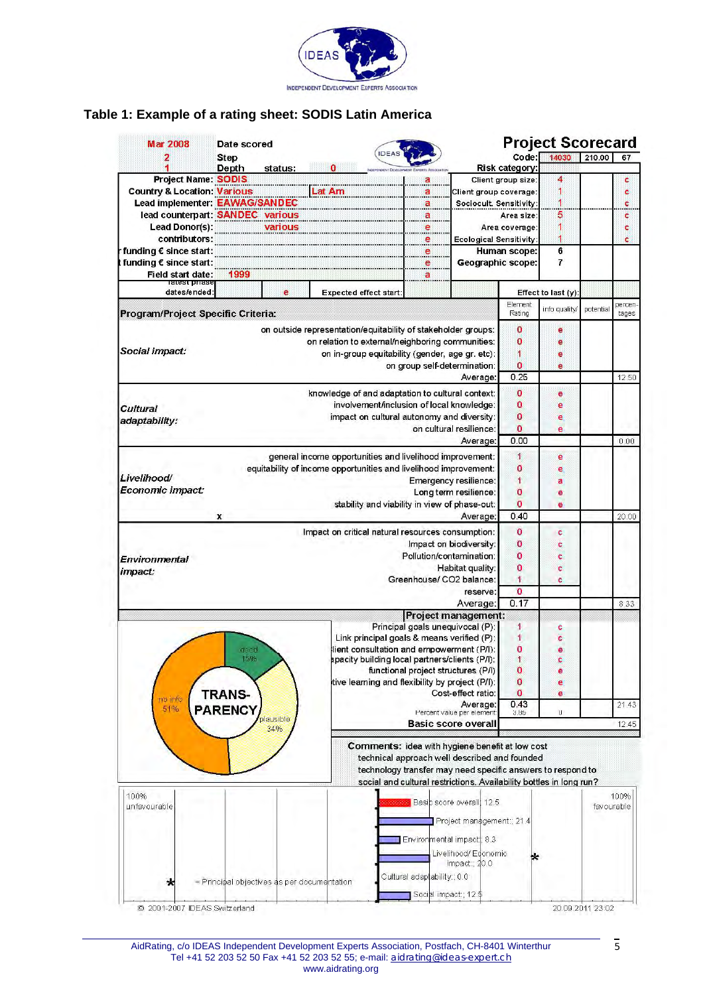

### **Table 1: Example of a rating sheet: SODIS Latin America**

| 2<br>Step<br><b>Depth</b><br><b>Project Name: SODIS</b><br><b>Country &amp; Location: Various</b><br>Lead implementer: EAWAG/SANDEC<br>lead counterpart: SANDEC various<br><b>Lead Donor(s):</b><br>contributors:<br>funding € since start:<br>funding € since start:<br>Field start date:<br>ratest priast<br>dates/ended:<br>Program/Project Specific Criteria:<br>Social impact:<br>Cultural<br>adaptability:<br>Livelihood/<br>Economic impact:<br>x<br>Environmental<br>impact: | status:<br>warious<br>1999<br>e | <br>Lat Am<br>on outside representation/equitability of stakeholder groups:<br>on relation to external/neighboring communities:<br>knowledge of and adaptation to cultural context:<br>general income opportunities and livelihood improvement:<br>equitability of income opportunities and livelihood improvement: | IDE/<br>Expected effect start: | а<br><u>_a</u> ___<br><del></del><br><del>.</del><br><del></del><br>e | Client group coverage:<br>Sociocult. Sensitivity:<br><b>Ecological Sensitivity:</b><br>Geographic scope:<br>on in-group equitability (gender, age gr. etc):<br>on group self-determination:<br>Average:<br>involvement/inclusion of local knowledge:<br>impact on cultural autonomy and diversity:<br>on cultural resilience:<br>Average:<br>Emergency resilience:<br>Long term resilience:<br>stability and viability in view of phase-out: | Code:<br>Risk category:<br>Client group size:<br>Area size:<br>Area coverage:<br>Human scope:<br>Element<br>Rating<br>0<br>$\bf{0}$<br>1<br>$\overline{0}$<br>0.25<br>O<br>0<br>0<br>$\overline{0}$<br>0.00<br>$\mathbf{1}$<br>0<br>1<br>o | 14030<br>4<br>1<br>5<br>1<br>1<br>6<br>$\overline{7}$<br>Effect to last (y):<br>info quality/<br>e<br>e<br>е<br>e<br>e<br>ë<br>e<br>e<br>e<br>e<br>a | 210.00<br>potential | 67<br>c<br>c<br>¢<br><br>c<br>¢<br>c<br>percen-<br>tages<br>12.50<br>0.00 |  |
|--------------------------------------------------------------------------------------------------------------------------------------------------------------------------------------------------------------------------------------------------------------------------------------------------------------------------------------------------------------------------------------------------------------------------------------------------------------------------------------|---------------------------------|---------------------------------------------------------------------------------------------------------------------------------------------------------------------------------------------------------------------------------------------------------------------------------------------------------------------|--------------------------------|-----------------------------------------------------------------------|----------------------------------------------------------------------------------------------------------------------------------------------------------------------------------------------------------------------------------------------------------------------------------------------------------------------------------------------------------------------------------------------------------------------------------------------|--------------------------------------------------------------------------------------------------------------------------------------------------------------------------------------------------------------------------------------------|------------------------------------------------------------------------------------------------------------------------------------------------------|---------------------|---------------------------------------------------------------------------|--|
|                                                                                                                                                                                                                                                                                                                                                                                                                                                                                      |                                 |                                                                                                                                                                                                                                                                                                                     |                                |                                                                       |                                                                                                                                                                                                                                                                                                                                                                                                                                              |                                                                                                                                                                                                                                            |                                                                                                                                                      |                     |                                                                           |  |
|                                                                                                                                                                                                                                                                                                                                                                                                                                                                                      |                                 |                                                                                                                                                                                                                                                                                                                     |                                |                                                                       |                                                                                                                                                                                                                                                                                                                                                                                                                                              |                                                                                                                                                                                                                                            |                                                                                                                                                      |                     |                                                                           |  |
|                                                                                                                                                                                                                                                                                                                                                                                                                                                                                      |                                 |                                                                                                                                                                                                                                                                                                                     |                                |                                                                       |                                                                                                                                                                                                                                                                                                                                                                                                                                              |                                                                                                                                                                                                                                            |                                                                                                                                                      |                     |                                                                           |  |
|                                                                                                                                                                                                                                                                                                                                                                                                                                                                                      |                                 |                                                                                                                                                                                                                                                                                                                     |                                |                                                                       |                                                                                                                                                                                                                                                                                                                                                                                                                                              |                                                                                                                                                                                                                                            |                                                                                                                                                      |                     |                                                                           |  |
|                                                                                                                                                                                                                                                                                                                                                                                                                                                                                      |                                 |                                                                                                                                                                                                                                                                                                                     |                                |                                                                       |                                                                                                                                                                                                                                                                                                                                                                                                                                              |                                                                                                                                                                                                                                            |                                                                                                                                                      |                     |                                                                           |  |
|                                                                                                                                                                                                                                                                                                                                                                                                                                                                                      |                                 |                                                                                                                                                                                                                                                                                                                     |                                |                                                                       |                                                                                                                                                                                                                                                                                                                                                                                                                                              |                                                                                                                                                                                                                                            |                                                                                                                                                      |                     |                                                                           |  |
|                                                                                                                                                                                                                                                                                                                                                                                                                                                                                      |                                 |                                                                                                                                                                                                                                                                                                                     |                                |                                                                       |                                                                                                                                                                                                                                                                                                                                                                                                                                              |                                                                                                                                                                                                                                            |                                                                                                                                                      |                     |                                                                           |  |
|                                                                                                                                                                                                                                                                                                                                                                                                                                                                                      |                                 |                                                                                                                                                                                                                                                                                                                     |                                |                                                                       |                                                                                                                                                                                                                                                                                                                                                                                                                                              |                                                                                                                                                                                                                                            |                                                                                                                                                      |                     |                                                                           |  |
|                                                                                                                                                                                                                                                                                                                                                                                                                                                                                      |                                 |                                                                                                                                                                                                                                                                                                                     |                                |                                                                       |                                                                                                                                                                                                                                                                                                                                                                                                                                              |                                                                                                                                                                                                                                            |                                                                                                                                                      |                     |                                                                           |  |
|                                                                                                                                                                                                                                                                                                                                                                                                                                                                                      |                                 |                                                                                                                                                                                                                                                                                                                     |                                |                                                                       |                                                                                                                                                                                                                                                                                                                                                                                                                                              |                                                                                                                                                                                                                                            |                                                                                                                                                      |                     |                                                                           |  |
|                                                                                                                                                                                                                                                                                                                                                                                                                                                                                      |                                 |                                                                                                                                                                                                                                                                                                                     |                                |                                                                       |                                                                                                                                                                                                                                                                                                                                                                                                                                              |                                                                                                                                                                                                                                            |                                                                                                                                                      |                     |                                                                           |  |
|                                                                                                                                                                                                                                                                                                                                                                                                                                                                                      |                                 |                                                                                                                                                                                                                                                                                                                     |                                |                                                                       |                                                                                                                                                                                                                                                                                                                                                                                                                                              |                                                                                                                                                                                                                                            |                                                                                                                                                      |                     |                                                                           |  |
|                                                                                                                                                                                                                                                                                                                                                                                                                                                                                      |                                 |                                                                                                                                                                                                                                                                                                                     |                                |                                                                       |                                                                                                                                                                                                                                                                                                                                                                                                                                              |                                                                                                                                                                                                                                            |                                                                                                                                                      |                     |                                                                           |  |
|                                                                                                                                                                                                                                                                                                                                                                                                                                                                                      |                                 |                                                                                                                                                                                                                                                                                                                     |                                |                                                                       |                                                                                                                                                                                                                                                                                                                                                                                                                                              |                                                                                                                                                                                                                                            |                                                                                                                                                      |                     |                                                                           |  |
|                                                                                                                                                                                                                                                                                                                                                                                                                                                                                      |                                 |                                                                                                                                                                                                                                                                                                                     |                                |                                                                       |                                                                                                                                                                                                                                                                                                                                                                                                                                              |                                                                                                                                                                                                                                            |                                                                                                                                                      |                     |                                                                           |  |
|                                                                                                                                                                                                                                                                                                                                                                                                                                                                                      |                                 |                                                                                                                                                                                                                                                                                                                     |                                |                                                                       |                                                                                                                                                                                                                                                                                                                                                                                                                                              |                                                                                                                                                                                                                                            |                                                                                                                                                      |                     |                                                                           |  |
|                                                                                                                                                                                                                                                                                                                                                                                                                                                                                      |                                 |                                                                                                                                                                                                                                                                                                                     |                                |                                                                       |                                                                                                                                                                                                                                                                                                                                                                                                                                              |                                                                                                                                                                                                                                            |                                                                                                                                                      |                     |                                                                           |  |
|                                                                                                                                                                                                                                                                                                                                                                                                                                                                                      |                                 |                                                                                                                                                                                                                                                                                                                     |                                |                                                                       |                                                                                                                                                                                                                                                                                                                                                                                                                                              |                                                                                                                                                                                                                                            |                                                                                                                                                      |                     |                                                                           |  |
|                                                                                                                                                                                                                                                                                                                                                                                                                                                                                      |                                 |                                                                                                                                                                                                                                                                                                                     |                                |                                                                       |                                                                                                                                                                                                                                                                                                                                                                                                                                              |                                                                                                                                                                                                                                            |                                                                                                                                                      |                     |                                                                           |  |
|                                                                                                                                                                                                                                                                                                                                                                                                                                                                                      |                                 |                                                                                                                                                                                                                                                                                                                     |                                |                                                                       |                                                                                                                                                                                                                                                                                                                                                                                                                                              |                                                                                                                                                                                                                                            |                                                                                                                                                      |                     |                                                                           |  |
|                                                                                                                                                                                                                                                                                                                                                                                                                                                                                      |                                 |                                                                                                                                                                                                                                                                                                                     |                                |                                                                       |                                                                                                                                                                                                                                                                                                                                                                                                                                              |                                                                                                                                                                                                                                            |                                                                                                                                                      |                     |                                                                           |  |
|                                                                                                                                                                                                                                                                                                                                                                                                                                                                                      |                                 |                                                                                                                                                                                                                                                                                                                     |                                |                                                                       |                                                                                                                                                                                                                                                                                                                                                                                                                                              |                                                                                                                                                                                                                                            |                                                                                                                                                      |                     |                                                                           |  |
|                                                                                                                                                                                                                                                                                                                                                                                                                                                                                      |                                 |                                                                                                                                                                                                                                                                                                                     |                                |                                                                       |                                                                                                                                                                                                                                                                                                                                                                                                                                              |                                                                                                                                                                                                                                            |                                                                                                                                                      |                     |                                                                           |  |
|                                                                                                                                                                                                                                                                                                                                                                                                                                                                                      |                                 |                                                                                                                                                                                                                                                                                                                     |                                |                                                                       |                                                                                                                                                                                                                                                                                                                                                                                                                                              |                                                                                                                                                                                                                                            |                                                                                                                                                      |                     |                                                                           |  |
|                                                                                                                                                                                                                                                                                                                                                                                                                                                                                      |                                 |                                                                                                                                                                                                                                                                                                                     |                                |                                                                       |                                                                                                                                                                                                                                                                                                                                                                                                                                              |                                                                                                                                                                                                                                            |                                                                                                                                                      |                     |                                                                           |  |
|                                                                                                                                                                                                                                                                                                                                                                                                                                                                                      |                                 |                                                                                                                                                                                                                                                                                                                     |                                |                                                                       |                                                                                                                                                                                                                                                                                                                                                                                                                                              |                                                                                                                                                                                                                                            |                                                                                                                                                      |                     |                                                                           |  |
|                                                                                                                                                                                                                                                                                                                                                                                                                                                                                      |                                 |                                                                                                                                                                                                                                                                                                                     |                                |                                                                       |                                                                                                                                                                                                                                                                                                                                                                                                                                              |                                                                                                                                                                                                                                            |                                                                                                                                                      |                     |                                                                           |  |
|                                                                                                                                                                                                                                                                                                                                                                                                                                                                                      |                                 |                                                                                                                                                                                                                                                                                                                     |                                |                                                                       |                                                                                                                                                                                                                                                                                                                                                                                                                                              |                                                                                                                                                                                                                                            |                                                                                                                                                      |                     |                                                                           |  |
|                                                                                                                                                                                                                                                                                                                                                                                                                                                                                      |                                 |                                                                                                                                                                                                                                                                                                                     |                                |                                                                       |                                                                                                                                                                                                                                                                                                                                                                                                                                              | $\overline{0}$                                                                                                                                                                                                                             | е<br>ë                                                                                                                                               |                     |                                                                           |  |
|                                                                                                                                                                                                                                                                                                                                                                                                                                                                                      |                                 |                                                                                                                                                                                                                                                                                                                     |                                |                                                                       | Average:                                                                                                                                                                                                                                                                                                                                                                                                                                     | 0.40                                                                                                                                                                                                                                       |                                                                                                                                                      |                     | 20.00                                                                     |  |
|                                                                                                                                                                                                                                                                                                                                                                                                                                                                                      |                                 |                                                                                                                                                                                                                                                                                                                     |                                |                                                                       |                                                                                                                                                                                                                                                                                                                                                                                                                                              |                                                                                                                                                                                                                                            |                                                                                                                                                      |                     |                                                                           |  |
|                                                                                                                                                                                                                                                                                                                                                                                                                                                                                      |                                 | Impact on critical natural resources consumption:                                                                                                                                                                                                                                                                   |                                |                                                                       |                                                                                                                                                                                                                                                                                                                                                                                                                                              | 0<br>0                                                                                                                                                                                                                                     | c                                                                                                                                                    |                     |                                                                           |  |
|                                                                                                                                                                                                                                                                                                                                                                                                                                                                                      | Impact on biodiversity:         |                                                                                                                                                                                                                                                                                                                     |                                |                                                                       |                                                                                                                                                                                                                                                                                                                                                                                                                                              |                                                                                                                                                                                                                                            | ¢                                                                                                                                                    |                     |                                                                           |  |
|                                                                                                                                                                                                                                                                                                                                                                                                                                                                                      |                                 |                                                                                                                                                                                                                                                                                                                     |                                |                                                                       | Pollution/contamination:                                                                                                                                                                                                                                                                                                                                                                                                                     | O<br>0                                                                                                                                                                                                                                     | ¢                                                                                                                                                    |                     |                                                                           |  |
|                                                                                                                                                                                                                                                                                                                                                                                                                                                                                      |                                 | Habitat quality:                                                                                                                                                                                                                                                                                                    |                                |                                                                       |                                                                                                                                                                                                                                                                                                                                                                                                                                              |                                                                                                                                                                                                                                            | c                                                                                                                                                    |                     |                                                                           |  |
|                                                                                                                                                                                                                                                                                                                                                                                                                                                                                      |                                 | Greenhouse/ CO2 balance:                                                                                                                                                                                                                                                                                            |                                |                                                                       |                                                                                                                                                                                                                                                                                                                                                                                                                                              |                                                                                                                                                                                                                                            | ċ                                                                                                                                                    |                     |                                                                           |  |
|                                                                                                                                                                                                                                                                                                                                                                                                                                                                                      | reserve:<br>Average:            |                                                                                                                                                                                                                                                                                                                     |                                |                                                                       |                                                                                                                                                                                                                                                                                                                                                                                                                                              |                                                                                                                                                                                                                                            |                                                                                                                                                      |                     |                                                                           |  |
|                                                                                                                                                                                                                                                                                                                                                                                                                                                                                      |                                 | 0.17                                                                                                                                                                                                                                                                                                                |                                |                                                                       | 8.33                                                                                                                                                                                                                                                                                                                                                                                                                                         |                                                                                                                                                                                                                                            |                                                                                                                                                      |                     |                                                                           |  |
|                                                                                                                                                                                                                                                                                                                                                                                                                                                                                      |                                 |                                                                                                                                                                                                                                                                                                                     |                                |                                                                       | <b>Project management:</b>                                                                                                                                                                                                                                                                                                                                                                                                                   |                                                                                                                                                                                                                                            |                                                                                                                                                      |                     |                                                                           |  |
|                                                                                                                                                                                                                                                                                                                                                                                                                                                                                      |                                 |                                                                                                                                                                                                                                                                                                                     |                                |                                                                       | Principal goals unequivocal (P):                                                                                                                                                                                                                                                                                                                                                                                                             | 1                                                                                                                                                                                                                                          | c                                                                                                                                                    |                     |                                                                           |  |
|                                                                                                                                                                                                                                                                                                                                                                                                                                                                                      |                                 |                                                                                                                                                                                                                                                                                                                     |                                |                                                                       | Link principal goals & means verified (P):                                                                                                                                                                                                                                                                                                                                                                                                   | 1                                                                                                                                                                                                                                          | ¢                                                                                                                                                    |                     |                                                                           |  |
|                                                                                                                                                                                                                                                                                                                                                                                                                                                                                      | acod                            |                                                                                                                                                                                                                                                                                                                     |                                |                                                                       | lient consultation and empowerment (P/I):                                                                                                                                                                                                                                                                                                                                                                                                    | o                                                                                                                                                                                                                                          | е                                                                                                                                                    |                     |                                                                           |  |
|                                                                                                                                                                                                                                                                                                                                                                                                                                                                                      | 15%                             |                                                                                                                                                                                                                                                                                                                     |                                |                                                                       | apacity building local partners/clients (P/I):                                                                                                                                                                                                                                                                                                                                                                                               | 1                                                                                                                                                                                                                                          |                                                                                                                                                      |                     |                                                                           |  |
|                                                                                                                                                                                                                                                                                                                                                                                                                                                                                      |                                 |                                                                                                                                                                                                                                                                                                                     |                                |                                                                       | functional project structures (P/I)                                                                                                                                                                                                                                                                                                                                                                                                          | 0                                                                                                                                                                                                                                          | e                                                                                                                                                    |                     |                                                                           |  |
|                                                                                                                                                                                                                                                                                                                                                                                                                                                                                      |                                 |                                                                                                                                                                                                                                                                                                                     |                                |                                                                       | tive learning and flexibility by project (P/I):                                                                                                                                                                                                                                                                                                                                                                                              | 0                                                                                                                                                                                                                                          | e                                                                                                                                                    |                     |                                                                           |  |
| <b>TRANS-</b><br>no info                                                                                                                                                                                                                                                                                                                                                                                                                                                             |                                 |                                                                                                                                                                                                                                                                                                                     |                                |                                                                       | Cost-effect ratio:                                                                                                                                                                                                                                                                                                                                                                                                                           | ٥                                                                                                                                                                                                                                          | e                                                                                                                                                    |                     |                                                                           |  |
| 51%<br><b>PARENCY</b>                                                                                                                                                                                                                                                                                                                                                                                                                                                                |                                 |                                                                                                                                                                                                                                                                                                                     |                                |                                                                       | Average:<br>Percent value per element:                                                                                                                                                                                                                                                                                                                                                                                                       | 0.43<br>3.85                                                                                                                                                                                                                               | U                                                                                                                                                    |                     | 21.43                                                                     |  |
|                                                                                                                                                                                                                                                                                                                                                                                                                                                                                      | <b>Mausible</b><br>34%          |                                                                                                                                                                                                                                                                                                                     |                                |                                                                       | <b>Basic score overall</b>                                                                                                                                                                                                                                                                                                                                                                                                                   |                                                                                                                                                                                                                                            |                                                                                                                                                      |                     | 12.45                                                                     |  |
|                                                                                                                                                                                                                                                                                                                                                                                                                                                                                      |                                 |                                                                                                                                                                                                                                                                                                                     |                                |                                                                       | Comments: idea with hygiene benefit at low cost<br>technical approach well described and founded<br>technology transfer may need specific answers to respond to<br>social and cultural restrictions. Availability bottles in long run?                                                                                                                                                                                                       |                                                                                                                                                                                                                                            |                                                                                                                                                      |                     |                                                                           |  |
| 100%                                                                                                                                                                                                                                                                                                                                                                                                                                                                                 |                                 |                                                                                                                                                                                                                                                                                                                     |                                |                                                                       |                                                                                                                                                                                                                                                                                                                                                                                                                                              |                                                                                                                                                                                                                                            |                                                                                                                                                      |                     | 100%                                                                      |  |
| unfavourable                                                                                                                                                                                                                                                                                                                                                                                                                                                                         |                                 | <b>ROOK Basic score overall</b> 12.5                                                                                                                                                                                                                                                                                |                                |                                                                       |                                                                                                                                                                                                                                                                                                                                                                                                                                              |                                                                                                                                                                                                                                            |                                                                                                                                                      | favourable          |                                                                           |  |
|                                                                                                                                                                                                                                                                                                                                                                                                                                                                                      |                                 |                                                                                                                                                                                                                                                                                                                     |                                |                                                                       | Project management:; 21.4                                                                                                                                                                                                                                                                                                                                                                                                                    |                                                                                                                                                                                                                                            |                                                                                                                                                      |                     |                                                                           |  |
|                                                                                                                                                                                                                                                                                                                                                                                                                                                                                      |                                 |                                                                                                                                                                                                                                                                                                                     |                                |                                                                       |                                                                                                                                                                                                                                                                                                                                                                                                                                              |                                                                                                                                                                                                                                            |                                                                                                                                                      |                     |                                                                           |  |
|                                                                                                                                                                                                                                                                                                                                                                                                                                                                                      |                                 |                                                                                                                                                                                                                                                                                                                     |                                |                                                                       | Environmental impact; 8.3                                                                                                                                                                                                                                                                                                                                                                                                                    |                                                                                                                                                                                                                                            |                                                                                                                                                      |                     |                                                                           |  |
|                                                                                                                                                                                                                                                                                                                                                                                                                                                                                      |                                 |                                                                                                                                                                                                                                                                                                                     |                                |                                                                       | Livelihood/Economic                                                                                                                                                                                                                                                                                                                                                                                                                          |                                                                                                                                                                                                                                            |                                                                                                                                                      |                     |                                                                           |  |
|                                                                                                                                                                                                                                                                                                                                                                                                                                                                                      |                                 |                                                                                                                                                                                                                                                                                                                     |                                |                                                                       | impact: $20.0$                                                                                                                                                                                                                                                                                                                                                                                                                               |                                                                                                                                                                                                                                            |                                                                                                                                                      |                     |                                                                           |  |
|                                                                                                                                                                                                                                                                                                                                                                                                                                                                                      |                                 |                                                                                                                                                                                                                                                                                                                     |                                | Cultural adaptability:; 0.0                                           |                                                                                                                                                                                                                                                                                                                                                                                                                                              |                                                                                                                                                                                                                                            |                                                                                                                                                      |                     |                                                                           |  |
| ∗                                                                                                                                                                                                                                                                                                                                                                                                                                                                                    |                                 | = Principal objectives as per documentation                                                                                                                                                                                                                                                                         |                                |                                                                       |                                                                                                                                                                                                                                                                                                                                                                                                                                              |                                                                                                                                                                                                                                            |                                                                                                                                                      |                     |                                                                           |  |
|                                                                                                                                                                                                                                                                                                                                                                                                                                                                                      |                                 |                                                                                                                                                                                                                                                                                                                     |                                | Social impact:; 12.5                                                  |                                                                                                                                                                                                                                                                                                                                                                                                                                              |                                                                                                                                                                                                                                            |                                                                                                                                                      |                     |                                                                           |  |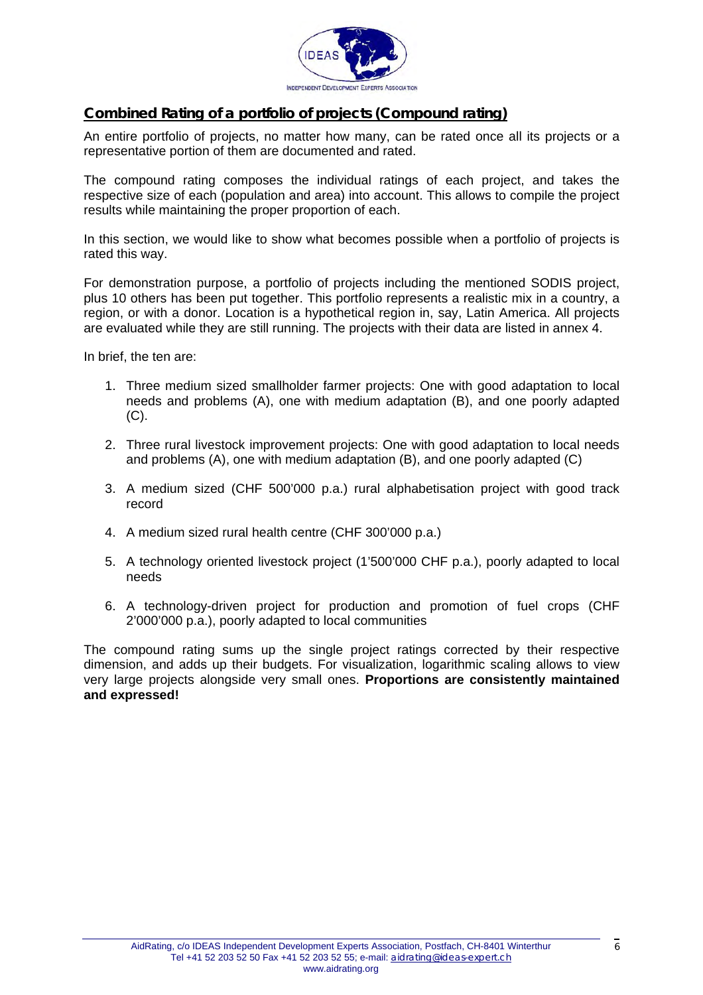

#### **Combined Rating of a portfolio of projects (Compound rating)**

An entire portfolio of projects, no matter how many, can be rated once all its projects or a representative portion of them are documented and rated.

The compound rating composes the individual ratings of each project, and takes the respective size of each (population and area) into account. This allows to compile the project results while maintaining the proper proportion of each.

In this section, we would like to show what becomes possible when a portfolio of projects is rated this way.

For demonstration purpose, a portfolio of projects including the mentioned SODIS project, plus 10 others has been put together. This portfolio represents a realistic mix in a country, a region, or with a donor. Location is a hypothetical region in, say, Latin America. All projects are evaluated while they are still running. The projects with their data are listed in annex 4.

In brief, the ten are:

- 1. Three medium sized smallholder farmer projects: One with good adaptation to local needs and problems (A), one with medium adaptation (B), and one poorly adapted (C).
- 2. Three rural livestock improvement projects: One with good adaptation to local needs and problems (A), one with medium adaptation (B), and one poorly adapted (C)
- 3. A medium sized (CHF 500'000 p.a.) rural alphabetisation project with good track record
- 4. A medium sized rural health centre (CHF 300'000 p.a.)
- 5. A technology oriented livestock project (1'500'000 CHF p.a.), poorly adapted to local needs
- 6. A technology-driven project for production and promotion of fuel crops (CHF 2'000'000 p.a.), poorly adapted to local communities

The compound rating sums up the single project ratings corrected by their respective dimension, and adds up their budgets. For visualization, logarithmic scaling allows to view very large projects alongside very small ones. **Proportions are consistently maintained and expressed!**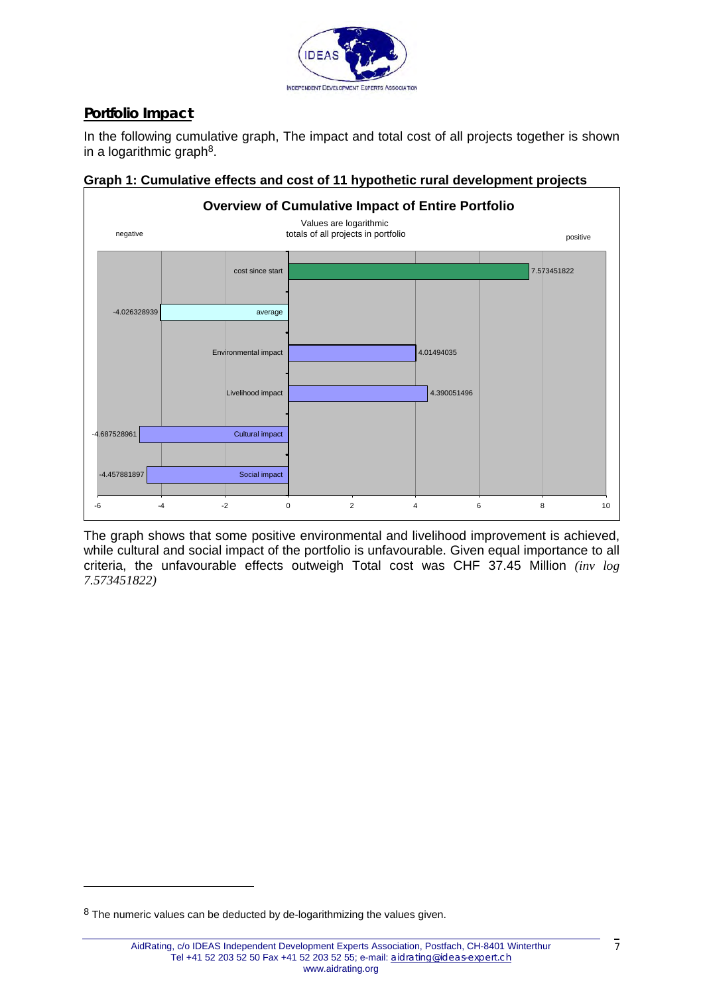

### **Portfolio Impact**

In the following cumulative graph, The impact and total cost of all projects together is shown in a logarithmic graph<sup>8</sup>.



**Graph 1: Cumulative effects and cost of 11 hypothetic rural development projects** 

The graph shows that some positive environmental and livelihood improvement is achieved, while cultural and social impact of the portfolio is unfavourable. Given equal importance to all criteria, the unfavourable effects outweigh Total cost was CHF 37.45 Million *(inv log 7.573451822)*

<span id="page-6-0"></span> $8$  The numeric values can be deducted by de-logarithmizing the values given.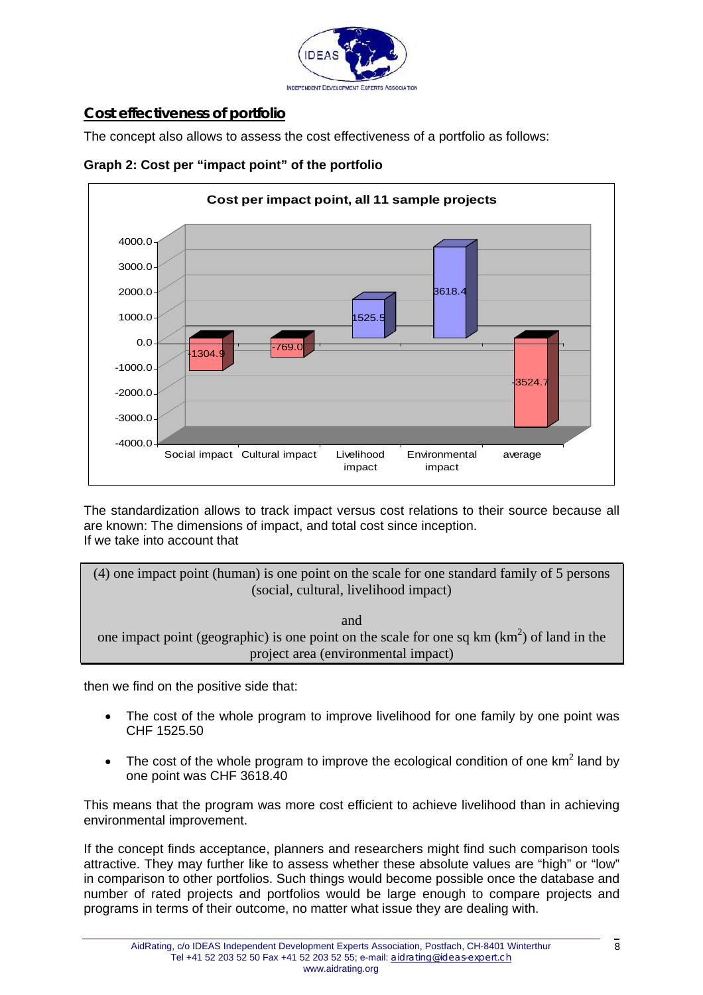

### **Cost effectiveness of portfolio**

The concept also allows to assess the cost effectiveness of a portfolio as follows:



**Graph 2: Cost per "impact point" of the portfolio** 

The standardization allows to track impact versus cost relations to their source because all are known: The dimensions of impact, and total cost since inception. If we take into account that

(4) one impact point (human) is one point on the scale for one standard family of 5 persons (social, cultural, livelihood impact)

and one impact point (geographic) is one point on the scale for one sq km  $(km^2)$  of land in the project area (environmental impact)

then we find on the positive side that:

- The cost of the whole program to improve livelihood for one family by one point was CHF 1525.50
- The cost of the whole program to improve the ecological condition of one  $km^2$  land by one point was CHF 3618.40

This means that the program was more cost efficient to achieve livelihood than in achieving environmental improvement.

If the concept finds acceptance, planners and researchers might find such comparison tools attractive. They may further like to assess whether these absolute values are "high" or "low" in comparison to other portfolios. Such things would become possible once the database and number of rated projects and portfolios would be large enough to compare projects and programs in terms of their outcome, no matter what issue they are dealing with.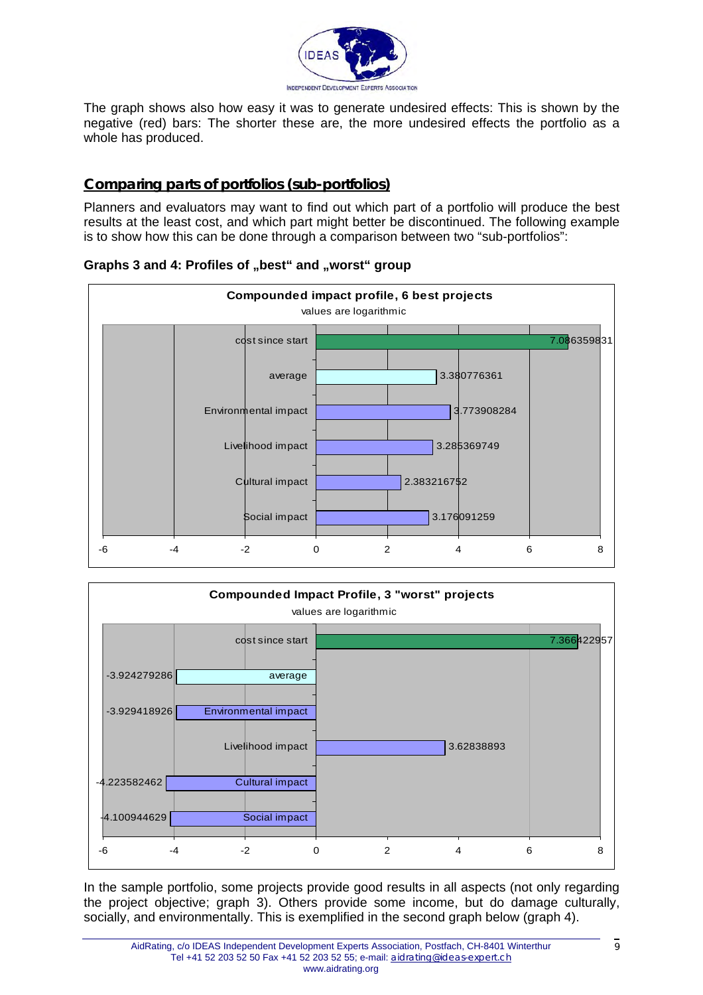

The graph shows also how easy it was to generate undesired effects: This is shown by the negative (red) bars: The shorter these are, the more undesired effects the portfolio as a whole has produced.

#### **Comparing parts of portfolios (sub-portfolios)**

Planners and evaluators may want to find out which part of a portfolio will produce the best results at the least cost, and which part might better be discontinued. The following example is to show how this can be done through a comparison between two "sub-portfolios":



#### Graphs 3 and 4: Profiles of "best" and "worst" group



In the sample portfolio, some projects provide good results in all aspects (not only regarding the project objective; graph 3). Others provide some income, but do damage culturally, socially, and environmentally. This is exemplified in the second graph below (graph 4).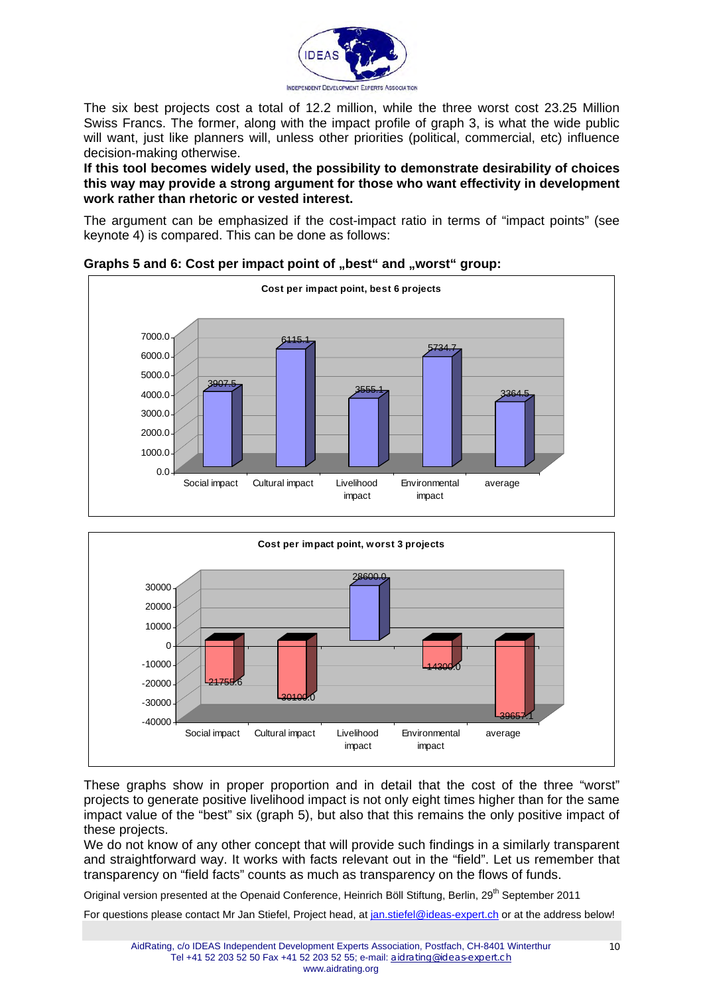

The six best projects cost a total of 12.2 million, while the three worst cost 23.25 Million Swiss Francs. The former, along with the impact profile of graph 3, is what the wide public will want, just like planners will, unless other priorities (political, commercial, etc) influence decision-making otherwise.

**If this tool becomes widely used, the possibility to demonstrate desirability of choices this way may provide a strong argument for those who want effectivity in development work rather than rhetoric or vested interest.** 

The argument can be emphasized if the cost-impact ratio in terms of "impact points" (see keynote 4) is compared. This can be done as follows:



#### Graphs 5 and 6: Cost per impact point of "best" and "worst" group:



These graphs show in proper proportion and in detail that the cost of the three "worst" projects to generate positive livelihood impact is not only eight times higher than for the same impact value of the "best" six (graph 5), but also that this remains the only positive impact of these projects.

We do not know of any other concept that will provide such findings in a similarly transparent and straightforward way. It works with facts relevant out in the "field". Let us remember that transparency on "field facts" counts as much as transparency on the flows of funds.

Original version presented at the Openaid Conference, Heinrich Böll Stiftung, Berlin, 29<sup>th</sup> September 2011

For questions please contact Mr Jan Stiefel, Project head, at [jan.stiefel@ideas-expert.ch](mailto:jan.stiefel@ideas-expert.ch) or at the address below!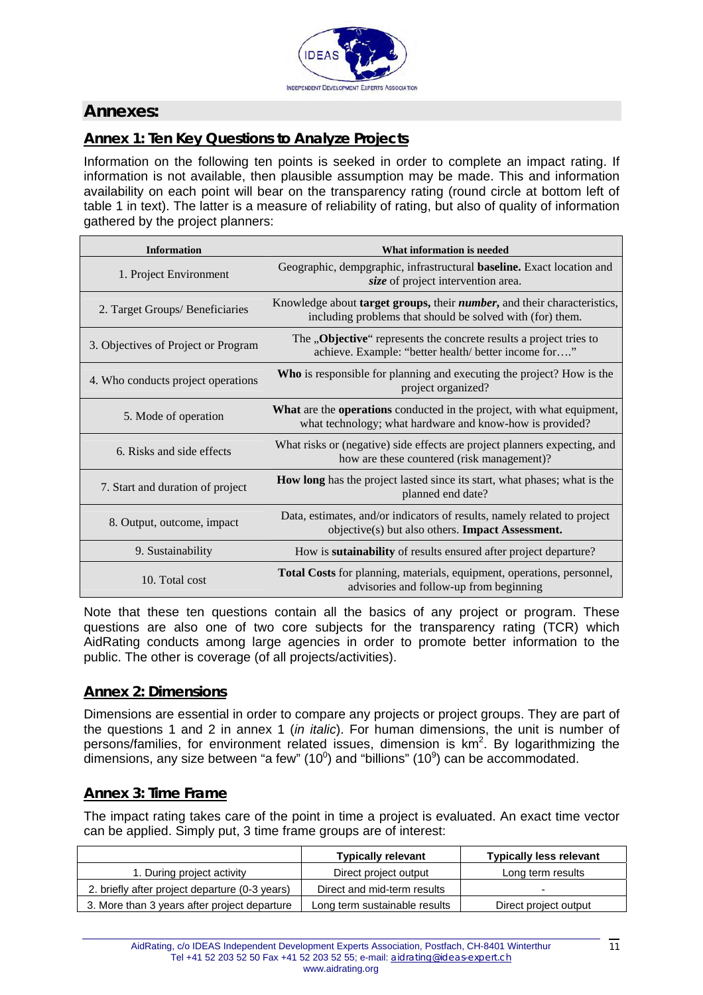

### **Annexes:**

### **Annex 1: Ten Key Questions to Analyze Projects**

Information on the following ten points is seeked in order to complete an impact rating. If information is not available, then plausible assumption may be made. This and information availability on each point will bear on the transparency rating (round circle at bottom left of table 1 in text). The latter is a measure of reliability of rating, but also of quality of information gathered by the project planners:

| <b>Information</b>                  | What information is needed                                                                                                                           |  |  |  |  |
|-------------------------------------|------------------------------------------------------------------------------------------------------------------------------------------------------|--|--|--|--|
| 1. Project Environment              | Geographic, dempgraphic, infrastructural <b>baseline.</b> Exact location and<br>size of project intervention area.                                   |  |  |  |  |
| 2. Target Groups/ Beneficiaries     | Knowledge about <b>target groups</b> , their <i>number</i> , and their characteristics,<br>including problems that should be solved with (for) them. |  |  |  |  |
| 3. Objectives of Project or Program | The <b>"Objective</b> " represents the concrete results a project tries to<br>achieve. Example: "better health/ better income for"                   |  |  |  |  |
| 4. Who conducts project operations  | <b>Who</b> is responsible for planning and executing the project? How is the<br>project organized?                                                   |  |  |  |  |
| 5. Mode of operation                | What are the operations conducted in the project, with what equipment,<br>what technology; what hardware and know-how is provided?                   |  |  |  |  |
| 6. Risks and side effects           | What risks or (negative) side effects are project planners expecting, and<br>how are these countered (risk management)?                              |  |  |  |  |
| 7. Start and duration of project    | <b>How long</b> has the project lasted since its start, what phases; what is the<br>planned end date?                                                |  |  |  |  |
| 8. Output, outcome, impact          | Data, estimates, and/or indicators of results, namely related to project<br>objective(s) but also others. <b>Impact Assessment.</b>                  |  |  |  |  |
| 9. Sustainability                   | How is <b>sutainability</b> of results ensured after project departure?                                                                              |  |  |  |  |
| 10. Total cost                      | Total Costs for planning, materials, equipment, operations, personnel,<br>advisories and follow-up from beginning                                    |  |  |  |  |

Note that these ten questions contain all the basics of any project or program. These questions are also one of two core subjects for the transparency rating (TCR) which AidRating conducts among large agencies in order to promote better information to the public. The other is coverage (of all projects/activities).

#### **Annex 2: Dimensions**

Dimensions are essential in order to compare any projects or project groups. They are part of the questions 1 and 2 in annex 1 (*in italic*). For human dimensions, the unit is number of persons/families, for environment related issues, dimension is  $km^2$ . By logarithmizing the dimensions, any size between "a few" (10<sup>0</sup>) and "billions" (10<sup>9</sup>) can be accommodated.

#### **Annex 3: Time Frame**

The impact rating takes care of the point in time a project is evaluated. An exact time vector can be applied. Simply put, 3 time frame groups are of interest:

|                                                | <b>Typically relevant</b>     | <b>Typically less relevant</b> |  |  |
|------------------------------------------------|-------------------------------|--------------------------------|--|--|
| 1. During project activity                     | Direct project output         | Long term results              |  |  |
| 2. briefly after project departure (0-3 years) | Direct and mid-term results   |                                |  |  |
| 3. More than 3 years after project departure   | Long term sustainable results | Direct project output          |  |  |